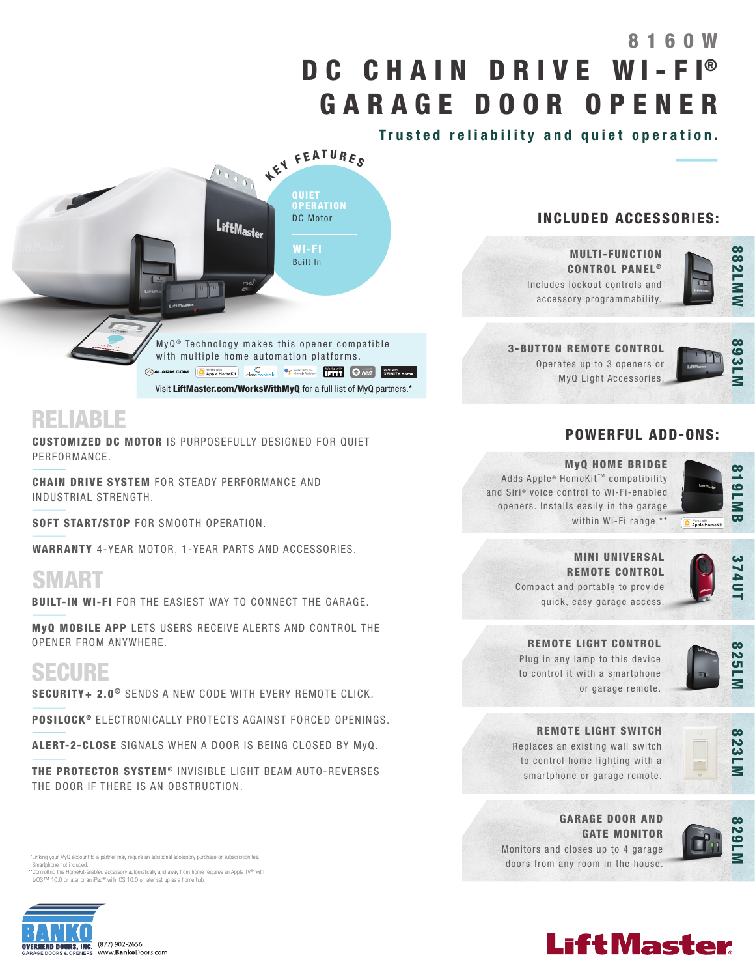# DC CHAIN DRIVE WI-FI® GARAGE DOOR OPENER 8160W

Trusted reliability and quiet operation.



Visit LiftMaster.com/WorksWithMyQ for a full list of MyQ partners.\*

# RELIABLE

CUSTOMIZED DC MOTOR IS PURPOSEFULLY DESIGNED FOR QUIET PERFORMANCE.

CHAIN DRIVE SYSTEM FOR STEADY PERFORMANCE AND INDUSTRIAL STRENGTH.

SOFT START/STOP FOR SMOOTH OPERATION.

WARRANTY 4-YEAR MOTOR, 1-YEAR PARTS AND ACCESSORIES.

# SMART

BUILT-IN WI-FI FOR THE EASIEST WAY TO CONNECT THE GARAGE.

MyQ MOBILE APP LETS USERS RECEIVE ALERTS AND CONTROL THE OPENER FROM ANYWHERE.

# SECURE

SECURITY+ 2.0<sup>®</sup> SENDS A NEW CODE WITH EVERY REMOTE CLICK.

POSILOCK<sup>®</sup> ELECTRONICALLY PROTECTS AGAINST FORCED OPENINGS.

ALERT-2-CLOSE SIGNALS WHEN A DOOR IS BEING CLOSED BY MyQ.

THE PROTECTOR SYSTEM<sup>®</sup> INVISIBLE LIGHT BEAM AUTO-REVERSES THE DOOR IF THERE IS AN OBSTRUCTION.

 \*Linking your MyQ account to a partner may require an additional accessory purchase or subscription fee. Smartphone not included.

\*\*Controlling this HomeKit-enabled accessory automatically and away from home requires an Apple TV® with<br>tvOS™ 10.0 or later or an iPad® with iOS 10.0 or later set up as a home hub.



## INCLUDED ACCESSORIES:



# POWERFUL ADD-ONS:



893LI

### MyQ HOME BRIDGE

Adds Apple® HomeKit™ compatibility and Siri® voice control to Wi-Fi-enabled openers. Installs easily in the garage within Wi-Fi range.\*\*



MINI UNIVERSAL REMOTE CONTROL Compact and portable to provide quick, easy garage access.

### REMOTE LIGHT CONTROL

Plug in any lamp to this device to control it with a smartphone or garage remote.



REMOTE LIGHT SWITCH

Replaces an existing wall switch to control home lighting with a smartphone or garage remote.



GARAGE DOOR AND GATE MONITOR



Monitors and closes up to 4 garage doors from any room in the house.